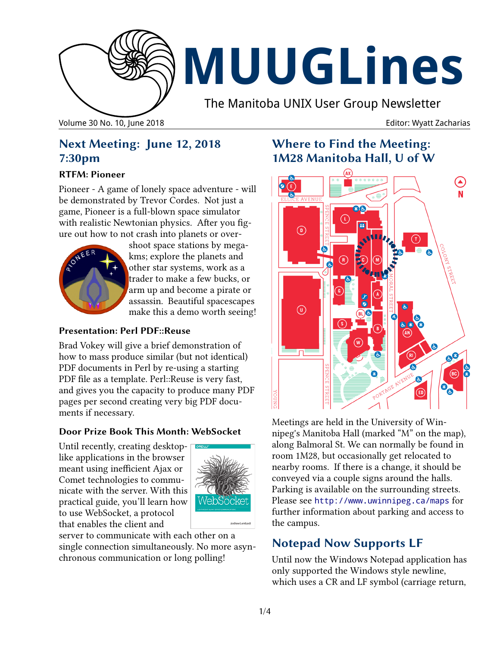

# **MUUGLines**

The Manitoba UNIX User Group Newsletter

Volume 30 No. 10, June 2018 **Editor: Wyatt Zacharias** Editor: Wyatt Zacharias

# **Next Meeting: June 12, 2018 7:30pm**

#### **RTFM: Pioneer**

Pioneer - A game of lonely space adventure - will be demonstrated by Trevor Cordes. Not just a game, Pioneer is a full-blown space simulator with realistic Newtonian physics. After you figure out how to not crash into planets or over-



shoot space stations by megakms; explore the planets and other star systems, work as a trader to make a few bucks, or arm up and become a pirate or assassin. Beautiful spacescapes make this a demo worth seeing!

#### **Presentation: Perl PDF::Reuse**

Brad Vokey will give a brief demonstration of how to mass produce similar (but not identical) PDF documents in Perl by re-using a starting PDF file as a template. Perl::Reuse is very fast, and gives you the capacity to produce many PDF pages per second creating very big PDF documents if necessary.

#### **Door Prize Book This Month: WebSocket**

Until recently, creating desktoplike applications in the browser meant using inefficient Ajax or Comet technologies to communicate with the server. With this practical guide, you'll learn how to use WebSocket, a protocol that enables the client and



server to communicate with each other on a single connection simultaneously. No more asynchronous communication or long polling!

# **Where to Find the Meeting: 1M28 Manitoba Hall, U of W**



Meetings are held in the University of Winnipeg's Manitoba Hall (marked "M" on the map), along Balmoral St. We can normally be found in room 1M28, but occasionally get relocated to nearby rooms. If there is a change, it should be conveyed via a couple signs around the halls. Parking is available on the surrounding streets. Please see <http://www.uwinnipeg.ca/maps> for further information about parking and access to the campus.

# **Notepad Now Supports LF**

Until now the Windows Notepad application has only supported the Windows style newline, which uses a CR and LF symbol (carriage return,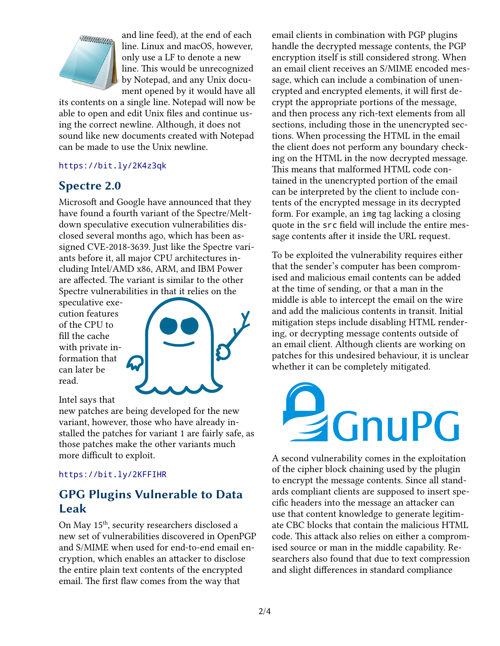

and line feed), at the end of each line. Linux and macOS, however, only use a LF to denote a new line. This would be unrecognized by Notepad, and any Unix document opened by it would have all

its contents on a single line. Notepad will now be able to open and edit Unix files and continue using the correct newline. Although, it does not sound like new documents created with Notepad can be made to use the Unix newline.

#### https://bit.ly/2K4z3qk

# **Spectre 2.0**

Microsoft and Google have announced that they have found a fourth variant of the Spectre/Meltdown speculative execution vulnerabilities disclosed several months ago, which has been assigned CVE-2018-3639. Just like the Spectre variants before it, all major CPU architectures including Intel/AMD x86, ARM, and IBM Power are affected. The variant is similar to the other Spectre vulnerabilities in that it relies on the

speculative execution features of the CPU to fill the cache with private information that can later be read.



Intel says that

new patches are being developed for the new variant, however, those who have already installed the patches for variant 1 are fairly safe, as those patches make the other variants much more difficult to exploit.

#### <https://bit.ly/2KFFIHR>

# **GPG Plugins Vulnerable to Data Leak**

On May 15<sup>th</sup>, security researchers disclosed a new set of vulnerabilities discovered in OpenPGP and S/MIME when used for end-to-end email encryption, which enables an attacker to disclose the entire plain text contents of the encrypted email. The first flaw comes from the way that

email clients in combination with PGP plugins handle the decrypted message contents, the PGP encryption itself is still considered strong. When an email client receives an S/MIME encoded message, which can include a combination of unencrypted and encrypted elements, it will first decrypt the appropriate portions of the message, and then process any rich-text elements from all sections, including those in the unencrypted sections. When processing the HTML in the email the client does not perform any boundary checking on the HTML in the now decrypted message. This means that malformed HTML code contained in the unencrypted portion of the email can be interpreted by the client to include contents of the encrypted message in its decrypted form. For example, an img tag lacking a closing quote in the src field will include the entire message contents after it inside the URL request.

To be exploited the vulnerability requires either that the sender's computer has been compromised and malicious email contents can be added at the time of sending, or that a man in the middle is able to intercept the email on the wire and add the malicious contents in transit. Initial mitigation steps include disabling HTML rendering, or decrypting message contents outside of an email client. Although clients are working on patches for this undesired behaviour, it is unclear whether it can be completely mitigated.



A second vulnerability comes in the exploitation of the cipher block chaining used by the plugin to encrypt the message contents. Since all standards compliant clients are supposed to insert specific headers into the message an attacker can use that content knowledge to generate legitimate CBC blocks that contain the malicious HTML code. This attack also relies on either a compromised source or man in the middle capability. Researchers also found that due to text compression and slight differences in standard compliance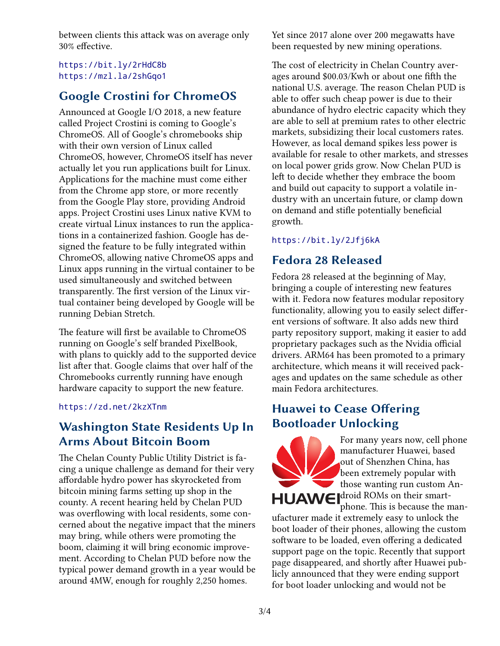between clients this attack was on average only 30% effective.

#### <https://bit.ly/2rHdC8b> <https://mzl.la/2shGqo1>

# **Google Crostini for ChromeOS**

Announced at Google I/O 2018, a new feature called Project Crostini is coming to Google's ChromeOS. All of Google's chromebooks ship with their own version of Linux called ChromeOS, however, ChromeOS itself has never actually let you run applications built for Linux. Applications for the machine must come either from the Chrome app store, or more recently from the Google Play store, providing Android apps. Project Crostini uses Linux native KVM to create virtual Linux instances to run the applications in a containerized fashion. Google has designed the feature to be fully integrated within ChromeOS, allowing native ChromeOS apps and Linux apps running in the virtual container to be used simultaneously and switched between transparently. The first version of the Linux virtual container being developed by Google will be running Debian Stretch.

The feature will first be available to ChromeOS running on Google's self branded PixelBook, with plans to quickly add to the supported device list after that. Google claims that over half of the Chromebooks currently running have enough hardware capacity to support the new feature.

#### <https://zd.net/2kzXTnm>

# **Washington State Residents Up In Arms About Bitcoin Boom**

The Chelan County Public Utility District is facing a unique challenge as demand for their very affordable hydro power has skyrocketed from bitcoin mining farms setting up shop in the county. A recent hearing held by Chelan PUD was overflowing with local residents, some concerned about the negative impact that the miners may bring, while others were promoting the boom, claiming it will bring economic improvement. According to Chelan PUD before now the typical power demand growth in a year would be around 4MW, enough for roughly 2,250 homes.

Yet since 2017 alone over 200 megawatts have been requested by new mining operations.

The cost of electricity in Chelan Country averages around \$00.03/Kwh or about one fifth the national U.S. average. The reason Chelan PUD is able to offer such cheap power is due to their abundance of hydro electric capacity which they are able to sell at premium rates to other electric markets, subsidizing their local customers rates. However, as local demand spikes less power is available for resale to other markets, and stresses on local power grids grow. Now Chelan PUD is left to decide whether they embrace the boom and build out capacity to support a volatile industry with an uncertain future, or clamp down on demand and stifle potentially beneficial growth.

#### <https://bit.ly/2Jfj6kA>

# **Fedora 28 Released**

Fedora 28 released at the beginning of May, bringing a couple of interesting new features with it. Fedora now features modular repository functionality, allowing you to easily select different versions of software. It also adds new third party repository support, making it easier to add proprietary packages such as the Nvidia official drivers. ARM64 has been promoted to a primary architecture, which means it will received packages and updates on the same schedule as other main Fedora architectures.

# **Huawei to Cease Offering Bootloader Unlocking**



For many years now, cell phone manufacturer Huawei, based out of Shenzhen China, has been extremely popular with those wanting run custom An-HUAWE droid ROMs on their smartphone. This is because the man-

ufacturer made it extremely easy to unlock the boot loader of their phones, allowing the custom software to be loaded, even offering a dedicated support page on the topic. Recently that support page disappeared, and shortly after Huawei publicly announced that they were ending support for boot loader unlocking and would not be